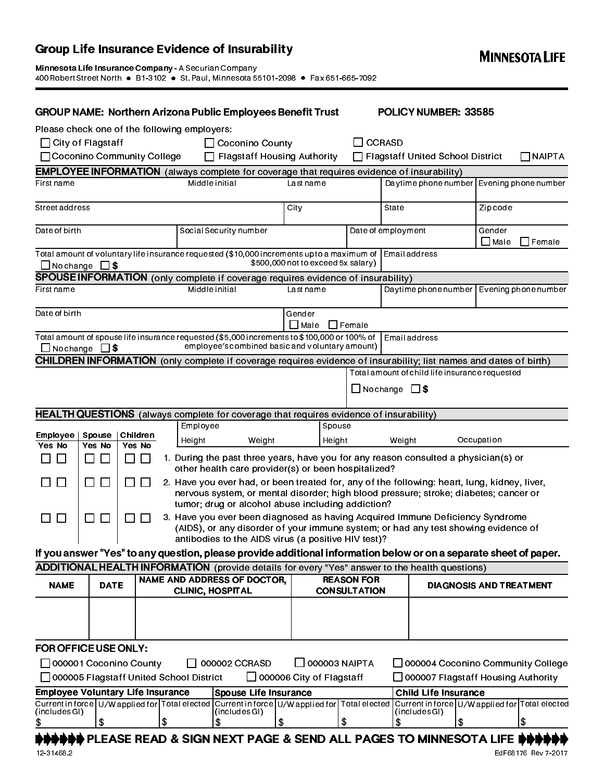## Group Life Insurance Evidence of Insurability

**MINNESOTA LIFE** 

Minnesota Life Insurance Company - A Securian Company 400 Robert Street North • B1-3102 • St. Paul, Minnesota 55101-2098 • Fax 651-665-7092

|                                              |                                         |                                                                                                                                                                                                 |                  | <b>GROUP NAME: Northern Arizona Public Employees Benefit Trust</b>                                                                             |                                                                                                                                            |  |                            |               | POLICY NUMBER: 33585                           |    |                                                |                                     |
|----------------------------------------------|-----------------------------------------|-------------------------------------------------------------------------------------------------------------------------------------------------------------------------------------------------|------------------|------------------------------------------------------------------------------------------------------------------------------------------------|--------------------------------------------------------------------------------------------------------------------------------------------|--|----------------------------|---------------|------------------------------------------------|----|------------------------------------------------|-------------------------------------|
| Please check one of the following employers: |                                         |                                                                                                                                                                                                 |                  |                                                                                                                                                |                                                                                                                                            |  |                            |               |                                                |    |                                                |                                     |
| $\Box$ City of Flagstaff                     |                                         |                                                                                                                                                                                                 |                  | $\Box$ Coconino County                                                                                                                         |                                                                                                                                            |  |                            | <b>CCRASD</b> |                                                |    |                                                |                                     |
| □ Coconino Community College                 |                                         |                                                                                                                                                                                                 |                  | <b>Flagstaff Housing Authority</b>                                                                                                             |                                                                                                                                            |  |                            |               | □ Flagstaff United School District             |    |                                                | $\Box$ NAIPTA                       |
|                                              |                                         |                                                                                                                                                                                                 |                  | <b>EMPLOYEE INFORMATION</b> (always complete for coverage that requires evidence of insurability)                                              |                                                                                                                                            |  |                            |               |                                                |    |                                                |                                     |
| Firstname                                    |                                         |                                                                                                                                                                                                 | Middle initial   |                                                                                                                                                | Lastname                                                                                                                                   |  |                            |               | Daytime phone number   Evening phone number    |    |                                                |                                     |
| Street address                               |                                         |                                                                                                                                                                                                 |                  |                                                                                                                                                | City                                                                                                                                       |  |                            | State         |                                                |    | Zip code                                       |                                     |
| Date of birth                                |                                         |                                                                                                                                                                                                 |                  | Social Security number                                                                                                                         |                                                                                                                                            |  | Date of employment         |               |                                                |    | Gender<br>$\Box$ Male                          | $\Box$ Female                       |
| $\Box$ No change $\Box$ \$                   |                                         |                                                                                                                                                                                                 |                  | Total amount of voluntary life insurance requested (\$10,000 increments up to a maximum of                                                     | \$500,000 not to exceed 5x salary)                                                                                                         |  |                            |               | Email address                                  |    |                                                |                                     |
|                                              |                                         |                                                                                                                                                                                                 |                  | <b>SPOUSE INFORMATION</b> (only complete if coverage requires evidence of insurability)                                                        |                                                                                                                                            |  |                            |               |                                                |    |                                                |                                     |
| Firstname                                    |                                         |                                                                                                                                                                                                 | Middle initial   |                                                                                                                                                | Lastname                                                                                                                                   |  |                            |               | Daytimephonenumber                             |    |                                                | Evening phone number                |
| Date of birth                                |                                         |                                                                                                                                                                                                 |                  |                                                                                                                                                | Gender<br>$\Box$ Male                                                                                                                      |  | $\Box$ Female              |               |                                                |    |                                                |                                     |
|                                              |                                         |                                                                                                                                                                                                 |                  | Total amount of spouse life insurance requested (\$5,000 increments to \$100,000 or 100% of<br>employee's combined basic and voluntary amount) |                                                                                                                                            |  |                            |               | Email address                                  |    |                                                |                                     |
| $\Box$ No change $\Box$ \$                   |                                         |                                                                                                                                                                                                 |                  | CHILDREN INFORMATION (only complete if coverage requires evidence of insurability; list names and dates of birth)                              |                                                                                                                                            |  |                            |               |                                                |    |                                                |                                     |
|                                              |                                         |                                                                                                                                                                                                 |                  |                                                                                                                                                |                                                                                                                                            |  |                            |               | Total amount of child life insurance requested |    |                                                |                                     |
|                                              |                                         |                                                                                                                                                                                                 |                  |                                                                                                                                                |                                                                                                                                            |  | $\Box$ No change $\Box$ \$ |               |                                                |    |                                                |                                     |
|                                              |                                         |                                                                                                                                                                                                 |                  |                                                                                                                                                |                                                                                                                                            |  |                            |               |                                                |    |                                                |                                     |
|                                              |                                         |                                                                                                                                                                                                 |                  | <b>HEALTH QUESTIONS</b> (always complete for coverage that requires evidence of insurability)                                                  |                                                                                                                                            |  |                            |               |                                                |    |                                                |                                     |
| Employee                                     | Spouse                                  | Children                                                                                                                                                                                        |                  | Employee<br>Spouse<br>Height                                                                                                                   |                                                                                                                                            |  |                            |               |                                                |    |                                                |                                     |
| Yes No                                       | Yes No<br>Yes No                        |                                                                                                                                                                                                 | Height<br>Weight |                                                                                                                                                |                                                                                                                                            |  | Occupation<br>Weight       |               |                                                |    |                                                |                                     |
| $\sim$<br>$\Box$                             | □<br>$\Box$                             |                                                                                                                                                                                                 |                  |                                                                                                                                                | 1. During the past three years, have you for any reason consulted a physician(s) or<br>other health care provider(s) or been hospitalized? |  |                            |               |                                                |    |                                                |                                     |
| $\Box$                                       | $\Box$                                  | 2. Have you ever had, or been treated for, any of the following: heart, lung, kidney, liver,<br>$\Box$<br>nervous system, or mental disorder; high blood pressure; stroke; diabetes; cancer or  |                  |                                                                                                                                                |                                                                                                                                            |  |                            |               |                                                |    |                                                |                                     |
|                                              |                                         |                                                                                                                                                                                                 |                  | tumor; drug or alcohol abuse including addiction?                                                                                              |                                                                                                                                            |  |                            |               |                                                |    |                                                |                                     |
| $\Box$<br>$\mathcal{L}$                      | $\mathsf{L}$                            | 3. Have you ever been diagnosed as having Acquired Immune Deficiency Syndrome<br>$\overline{\phantom{a}}$<br>(AIDS), or any disorder of your immune system; or had any test showing evidence of |                  |                                                                                                                                                |                                                                                                                                            |  |                            |               |                                                |    |                                                |                                     |
|                                              |                                         |                                                                                                                                                                                                 |                  | antibodies to the AIDS virus (a positive HIV test)?                                                                                            |                                                                                                                                            |  |                            |               |                                                |    |                                                |                                     |
|                                              |                                         |                                                                                                                                                                                                 |                  | If you answer "Yes" to any question, please provide additional information below or on a separate sheet of paper.                              |                                                                                                                                            |  |                            |               |                                                |    |                                                |                                     |
|                                              |                                         |                                                                                                                                                                                                 |                  | ADDITIONAL HEALTH INFORMATION (provide details for every "Yes" answer to the health questions)<br>NAME AND ADDRESS OF DOCTOR,                  |                                                                                                                                            |  | <b>REASON FOR</b>          |               |                                                |    |                                                |                                     |
| <b>NAME</b>                                  | <b>DATE</b>                             |                                                                                                                                                                                                 |                  | <b>CLINIC, HOSPITAL</b>                                                                                                                        |                                                                                                                                            |  | <b>CONSULTATION</b>        |               |                                                |    |                                                | <b>DIAGNOSIS AND TREATMENT</b>      |
|                                              |                                         |                                                                                                                                                                                                 |                  |                                                                                                                                                |                                                                                                                                            |  |                            |               |                                                |    |                                                |                                     |
|                                              |                                         |                                                                                                                                                                                                 |                  |                                                                                                                                                |                                                                                                                                            |  |                            |               |                                                |    |                                                |                                     |
| FOR OFFICE USE ONLY:                         |                                         |                                                                                                                                                                                                 |                  |                                                                                                                                                |                                                                                                                                            |  |                            |               |                                                |    |                                                |                                     |
| □ 000001 Coconino County                     |                                         |                                                                                                                                                                                                 |                  | 000002 CCRASD                                                                                                                                  |                                                                                                                                            |  | $\Box$ 000003 NAIPTA       |               |                                                |    |                                                | □ 000004 Coconino Community College |
|                                              | 000005 Flagstaff United School District |                                                                                                                                                                                                 |                  |                                                                                                                                                | $\Box$ 000006 City of Flagstaff                                                                                                            |  |                            |               | $\Box$ 000007 Flagstaff Housing Authority      |    |                                                |                                     |
| <b>Employee Voluntary Life Insurance</b>     |                                         |                                                                                                                                                                                                 |                  | <b>Spouse Life Insurance</b>                                                                                                                   |                                                                                                                                            |  |                            |               | <b>Child Life Insurance</b>                    |    |                                                |                                     |
| (includes GI)                                |                                         | Current in force U/W applied for Total elected Current in force U/W applied for Total elected                                                                                                   |                  | (includes GI)                                                                                                                                  |                                                                                                                                            |  |                            |               | (includes GI)                                  |    | Current in force U/W applied for Total elected |                                     |
| \$                                           | \$                                      | \$                                                                                                                                                                                              |                  | \$                                                                                                                                             | \$                                                                                                                                         |  | \$                         | \$            |                                                | \$ |                                                | \$                                  |
| 12 31468.2                                   |                                         |                                                                                                                                                                                                 |                  | PLEASE READ & SIGN NEXT PAGE & SEND ALL PAGES TO MINNESOTA LIFE                                                                                |                                                                                                                                            |  |                            |               |                                                |    |                                                | EdF68176 Rev 7-2017                 |